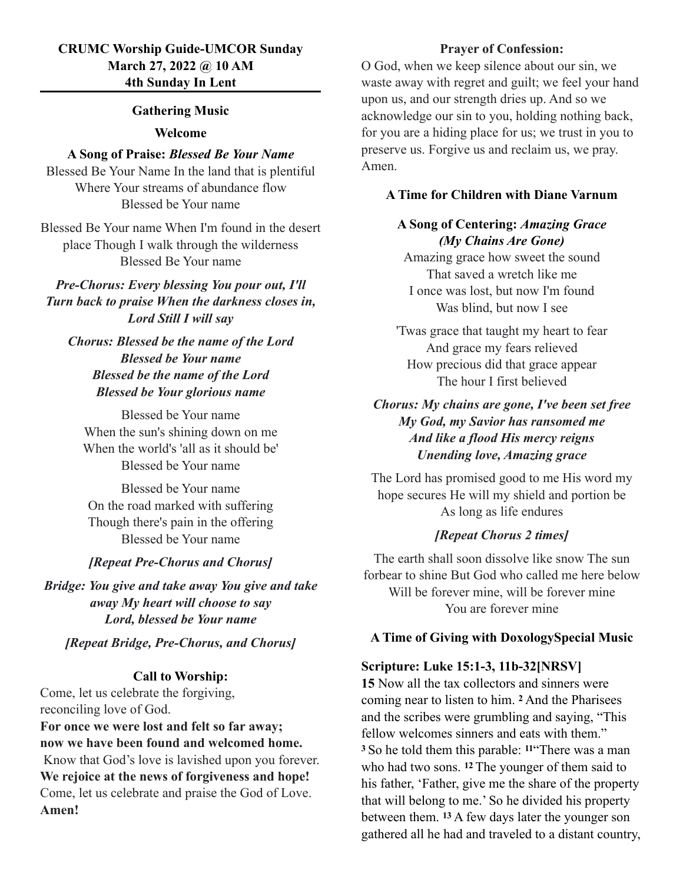## **CRUMC Worship Guide-UMCOR Sunday March 27, 2022 @ 10 AM 4th Sunday In Lent**

#### **Gathering Music**

#### **Welcome**

## **A Song of Praise:** *Blessed Be Your Name*

Blessed Be Your Name In the land that is plentiful Where Your streams of abundance flow Blessed be Your name

Blessed Be Your name When I'm found in the desert place Though I walk through the wilderness Blessed Be Your name

*Pre-Chorus: Every blessing You pour out, I'll Turn back to praise When the darkness closes in, Lord Still I will say*

*Chorus: Blessed be the name of the Lord Blessed be Your name Blessed be the name of the Lord Blessed be Your glorious name*

Blessed be Your name When the sun's shining down on me When the world's 'all as it should be' Blessed be Your name

Blessed be Your name On the road marked with suffering Though there's pain in the offering Blessed be Your name

#### *[Repeat Pre-Chorus and Chorus]*

*Bridge: You give and take away You give and take away My heart will choose to say Lord, blessed be Your name*

#### *[Repeat Bridge, Pre-Chorus, and Chorus]*

#### **Call to Worship:**

Come, let us celebrate the forgiving, reconciling love of God.

**For once we were lost and felt so far away; now we have been found and welcomed home.** Know that God's love is lavished upon you forever. **We rejoice at the news of forgiveness and hope!** Come, let us celebrate and praise the God of Love. **Amen!**

### **Prayer of Confession:**

O God, when we keep silence about our sin, we waste away with regret and guilt; we feel your hand upon us, and our strength dries up. And so we acknowledge our sin to you, holding nothing back, for you are a hiding place for us; we trust in you to preserve us. Forgive us and reclaim us, we pray. Amen.

#### **A Time for Children with Diane Varnum**

### **A Song of Centering:** *Amazing Grace (My Chains Are Gone)*

Amazing grace how sweet the sound That saved a wretch like me I once was lost, but now I'm found Was blind, but now I see

'Twas grace that taught my heart to fear And grace my fears relieved How precious did that grace appear The hour I first believed

## *Chorus: My chains are gone, I've been set free My God, my Savior has ransomed me And like a flood His mercy reigns Unending love, Amazing grace*

The Lord has promised good to me His word my hope secures He will my shield and portion be As long as life endures

### *[Repeat Chorus 2 times]*

The earth shall soon dissolve like snow The sun forbear to shine But God who called me here below Will be forever mine, will be forever mine You are forever mine

#### **A Time of Giving with DoxologySpecial Music**

#### **Scripture: Luke 15:1-3, 11b-32[NRSV]**

**15** Now all the tax collectors and sinners were coming near to listen to him. **2** And the Pharisees and the scribes were grumbling and saying, "This fellow welcomes sinners and eats with them." **<sup>3</sup>**So he told them this parable: **11**"There was a man who had two sons. **12** The younger of them said to his father, 'Father, give me the share of the property that will belong to me.' So he divided his property between them. **13** A few days later the younger son gathered all he had and traveled to a distant country,